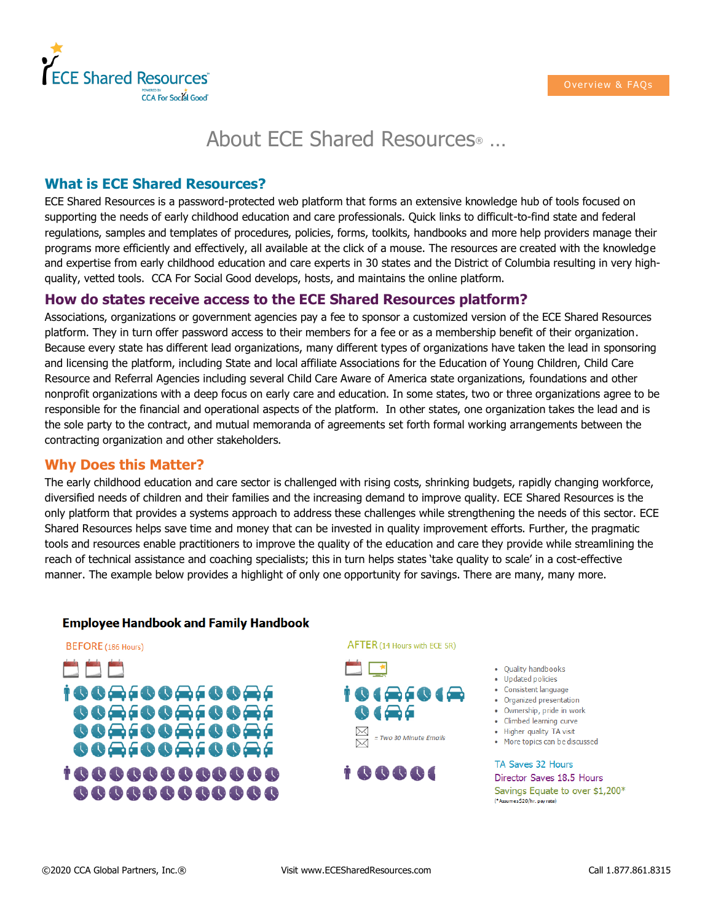

# About ECE Shared Resources® …

### **What is ECE Shared Resources?**

ECE Shared Resources is a password-protected web platform that forms an extensive knowledge hub of tools focused on supporting the needs of early childhood education and care professionals. Quick links to difficult-to-find state and federal regulations, samples and templates of procedures, policies, forms, toolkits, handbooks and more help providers manage their programs more efficiently and effectively, all available at the click of a mouse. The resources are created with the knowledge and expertise from early childhood education and care experts in 30 states and the District of Columbia resulting in very highquality, vetted tools. CCA For Social Good develops, hosts, and maintains the online platform.

### **How do states receive access to the ECE Shared Resources platform?**

Associations, organizations or government agencies pay a fee to sponsor a customized version of the ECE Shared Resources platform. They in turn offer password access to their members for a fee or as a membership benefit of their organization. Because every state has different lead organizations, many different types of organizations have taken the lead in sponsoring and licensing the platform, including State and local affiliate Associations for the Education of Young Children, Child Care Resource and Referral Agencies including several Child Care Aware of America state organizations, foundations and other nonprofit organizations with a deep focus on early care and education. In some states, two or three organizations agree to be responsible for the financial and operational aspects of the platform. In other states, one organization takes the lead and is the sole party to the contract, and mutual memoranda of agreements set forth formal working arrangements between the contracting organization and other stakeholders.

#### **Why Does this Matter?**

The early childhood education and care sector is challenged with rising costs, shrinking budgets, rapidly changing workforce, diversified needs of children and their families and the increasing demand to improve quality. ECE Shared Resources is the only platform that provides a systems approach to address these challenges while strengthening the needs of this sector. ECE Shared Resources helps save time and money that can be invested in quality improvement efforts. Further, the pragmatic tools and resources enable practitioners to improve the quality of the education and care they provide while streamlining the reach of technical assistance and coaching specialists; this in turn helps states 'take quality to scale' in a cost-effective manner. The example below provides a highlight of only one opportunity for savings. There are many, many more.

#### **Employee Handbook and Family Handbook**







- - Quality handbooks • Updated policies
	- Consistent language
	- Organized presentation
	- Ownership, pride in work
	- Climbed learning curve
- Higher quality TA visit
- More topics can be discussed

TA Saves 32 Hours Director Saves 18.5 Hours Savings Equate to over \$1,200\* (\*Assumes \$20/hr. pay rate)